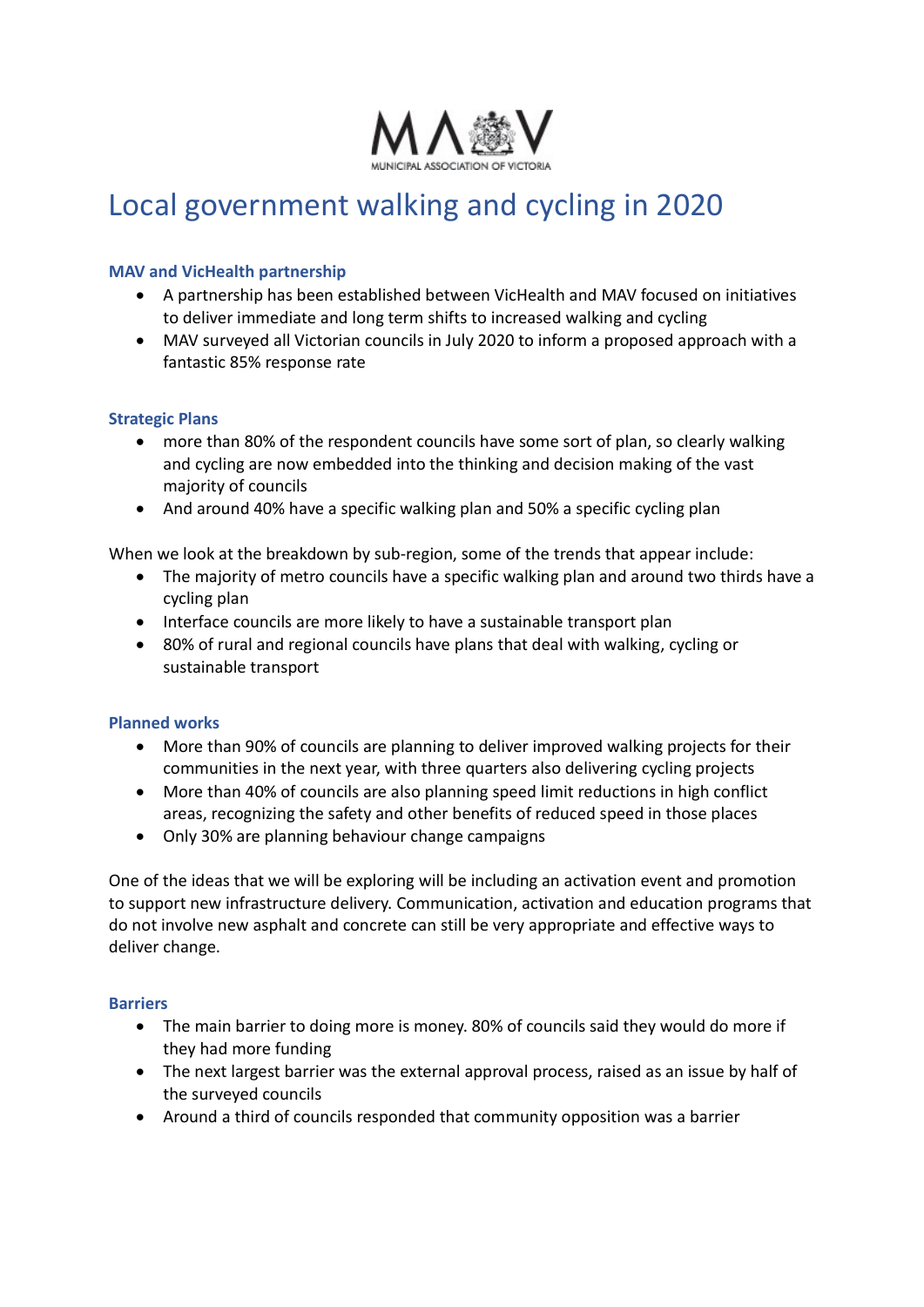

# Local government walking and cycling in 2020

#### MAV and VicHealth partnership

- A partnership has been established between VicHealth and MAV focused on initiatives to deliver immediate and long term shifts to increased walking and cycling
- MAV surveyed all Victorian councils in July 2020 to inform a proposed approach with a fantastic 85% response rate

## Strategic Plans

- more than 80% of the respondent councils have some sort of plan, so clearly walking and cycling are now embedded into the thinking and decision making of the vast majority of councils
- And around 40% have a specific walking plan and 50% a specific cycling plan

When we look at the breakdown by sub-region, some of the trends that appear include:

- The majority of metro councils have a specific walking plan and around two thirds have a cycling plan
- Interface councils are more likely to have a sustainable transport plan
- 80% of rural and regional councils have plans that deal with walking, cycling or sustainable transport

# Planned works

- More than 90% of councils are planning to deliver improved walking projects for their communities in the next year, with three quarters also delivering cycling projects
- More than 40% of councils are also planning speed limit reductions in high conflict areas, recognizing the safety and other benefits of reduced speed in those places
- Only 30% are planning behaviour change campaigns

One of the ideas that we will be exploring will be including an activation event and promotion to support new infrastructure delivery. Communication, activation and education programs that do not involve new asphalt and concrete can still be very appropriate and effective ways to deliver change.

#### **Barriers**

- The main barrier to doing more is money. 80% of councils said they would do more if they had more funding
- The next largest barrier was the external approval process, raised as an issue by half of the surveyed councils
- Around a third of councils responded that community opposition was a barrier